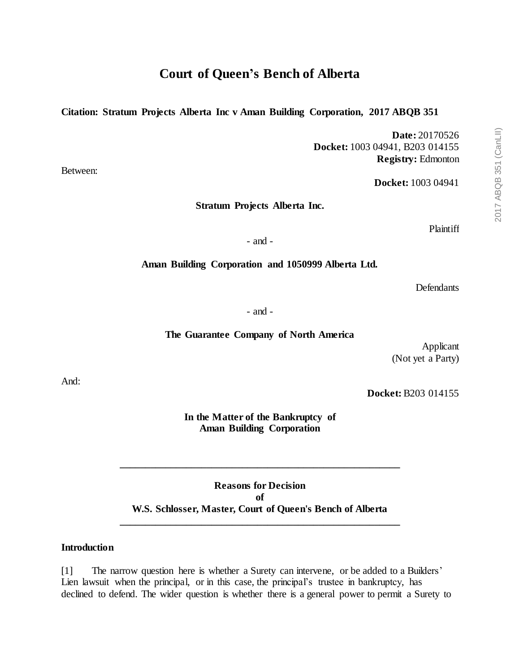# **Citation: Stratum Projects Alberta Inc v Aman Building Corporation, 2017 ABQB 351**

**Date:** 20170526 **Docket:** 1003 04941, B203 014155 **Registry:** Edmonton

**Docket:** 1003 04941

**Stratum Projects Alberta Inc.**

Plaintiff

- and -

**Aman Building Corporation and 1050999 Alberta Ltd.**

**Defendants** 

- and -

**The Guarantee Company of North America**

Applicant (Not yet a Party)

**Docket:** B203 014155

**In the Matter of the Bankruptcy of Aman Building Corporation**

**Reasons for Decision of W.S. Schlosser, Master, Court of Queen's Bench of Alberta \_\_\_\_\_\_\_\_\_\_\_\_\_\_\_\_\_\_\_\_\_\_\_\_\_\_\_\_\_\_\_\_\_\_\_\_\_\_\_\_\_\_\_\_\_\_\_\_\_\_\_\_\_\_\_**

**\_\_\_\_\_\_\_\_\_\_\_\_\_\_\_\_\_\_\_\_\_\_\_\_\_\_\_\_\_\_\_\_\_\_\_\_\_\_\_\_\_\_\_\_\_\_\_\_\_\_\_\_\_\_\_**

### **Introduction**

[1] The narrow question here is whether a Surety can intervene, or be added to a Builders' Lien lawsuit when the principal, or in this case, the principal's trustee in bankruptcy, has declined to defend. The wider question is whether there is a general power to permit a Surety to

And:

Between: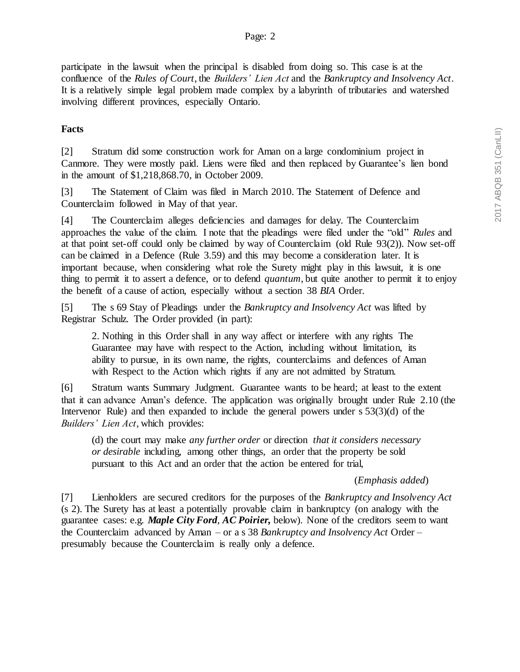participate in the lawsuit when the principal is disabled from doing so. This case is at the confluence of the *Rules of Court*, the *Builders' Lien Act* and the *Bankruptcy and Insolvency Act*. It is a relatively simple legal problem made complex by a labyrinth of tributaries and watershed involving different provinces, especially Ontario.

## **Facts**

[2] Stratum did some construction work for Aman on a large condominium project in Canmore. They were mostly paid. Liens were filed and then replaced by Guarantee's lien bond in the amount of \$1,218,868.70, in October 2009.

[3] The Statement of Claim was filed in March 2010. The Statement of Defence and Counterclaim followed in May of that year.

[4] The Counterclaim alleges deficiencies and damages for delay. The Counterclaim approaches the value of the claim. I note that the pleadings were filed under the "old" *Rules* and at that point set-off could only be claimed by way of Counterclaim (old Rule 93(2)). Now set-off can be claimed in a Defence (Rule 3.59) and this may become a consideration later. It is important because, when considering what role the Surety might play in this lawsuit, it is one thing to permit it to assert a defence, or to defend *quantum*, but quite another to permit it to enjoy the benefit of a cause of action, especially without a section 38 *BIA* Order.

[5] The s 69 Stay of Pleadings under the *Bankruptcy and Insolvency Act* was lifted by Registrar Schulz. The Order provided (in part):

2. Nothing in this Order shall in any way affect or interfere with any rights The Guarantee may have with respect to the Action, including without limitation, its ability to pursue, in its own name, the rights, counterclaims and defences of Aman with Respect to the Action which rights if any are not admitted by Stratum.

[6] Stratum wants Summary Judgment. Guarantee wants to be heard; at least to the extent that it can advance Aman's defence. The application was originally brought under Rule 2.10 (the Intervenor Rule) and then expanded to include the general powers under s 53(3)(d) of the *Builders' Lien Act*, which provides:

(d) the court may make *any further order* or direction *that it considers necessary or desirable* including, among other things, an order that the property be sold pursuant to this Act and an order that the action be entered for trial,

#### (*Emphasis added*)

[7] Lienholders are secured creditors for the purposes of the *Bankruptcy and Insolvency Act* (s 2). The Surety has at least a potentially provable claim in bankruptcy (on analogy with the guarantee cases: e.g. *Maple City Ford*, *AC Poirier,* below). None of the creditors seem to want the Counterclaim advanced by Aman – or a s 38 *Bankruptcy and Insolvency Act* Order – presumably because the Counterclaim is really only a defence.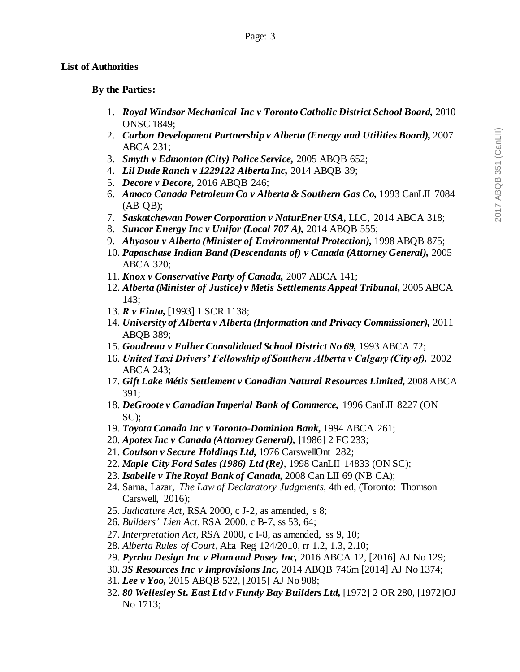### **List of Authorities**

### **By the Parties:**

- 1. *Royal Windsor Mechanical Inc v Toronto Catholic District School Board,* 2010 ONSC 1849;
- 2. *Carbon Development Partnership v Alberta (Energy and Utilities Board),* 2007 ABCA 231;
- 3. *Smyth v Edmonton (City) Police Service,* 2005 ABQB 652;
- 4. *Lil Dude Ranch v 1229122 Alberta Inc,* 2014 ABQB 39;
- 5. *Decore v Decore,* 2016 ABQB 246;
- 6. *Amoco Canada Petroleum Co v Alberta & Southern Gas Co,* 1993 CanLII 7084 (AB QB);
- 7. *Saskatchewan Power Corporation v NaturEner USA,* LLC, 2014 ABCA 318;
- 8. *Suncor Energy Inc v Unifor (Local 707 A),* 2014 ABQB 555;
- 9. *Ahyasou v Alberta (Minister of Environmental Protection),* 1998 ABQB 875;
- 10. *Papaschase Indian Band (Descendants of) v Canada (Attorney General),* 2005 ABCA 320;
- 11. *Knox v Conservative Party of Canada,* 2007 ABCA 141;
- 12. *Alberta (Minister of Justice) v Metis Settlements Appeal Tribunal,* 2005 ABCA 143;
- 13. *R v Finta,* [1993] 1 SCR 1138;
- 14. *University of Alberta v Alberta (Information and Privacy Commissioner),* 2011 ABQB 389;
- 15. *Goudreau v Falher Consolidated School District No 69,* 1993 ABCA 72;
- 16. *United Taxi Drivers' Fellowship of Southern Alberta v Calgary (City of),* 2002 ABCA 243;
- 17. *Gift Lake Métis Settlement v Canadian Natural Resources Limited,* 2008 ABCA 391;
- 18. *DeGroote v Canadian Imperial Bank of Commerce,* 1996 CanLII 8227 (ON SC);
- 19. *Toyota Canada Inc v Toronto-Dominion Bank,* 1994 ABCA 261;
- 20. *Apotex Inc v Canada (Attorney General),* [1986] 2 FC 233;
- 21. *Coulson v Secure Holdings Ltd,* 1976 CarswellOnt 282;
- 22. *Maple City Ford Sales (1986) Ltd (Re)*, 1998 CanLII 14833 (ON SC);
- 23. *Isabelle v The Royal Bank of Canada,* 2008 Can LII 69 (NB CA);
- 24. Sarna, Lazar, *The Law of Declaratory Judgments,* 4th ed, (Toronto: Thomson Carswell, 2016);
- 25. *Judicature Act,* RSA 2000, c J-2, as amended, s 8;
- 26. *Builders' Lien Act,* RSA 2000, c B-7, ss 53, 64;
- 27. *Interpretation Act,* RSA 2000, c I-8, as amended, ss 9, 10;
- 28. *Alberta Rules of Court,* Alta Reg 124/2010, rr 1.2, 1.3, 2.10;
- 29. *Pyrrha Design Inc v Plum and Posey Inc,* 2016 ABCA 12, [2016] AJ No 129;
- 30. *3S Resources Inc v Improvisions Inc,* 2014 ABQB 746m [2014] AJ No 1374;
- 31. *Lee v Yoo,* 2015 ABQB 522, [2015] AJ No 908;
- 32. *80 Wellesley St. East Ltd v Fundy Bay Builders Ltd,* [1972] 2 OR 280, [1972]OJ No 1713;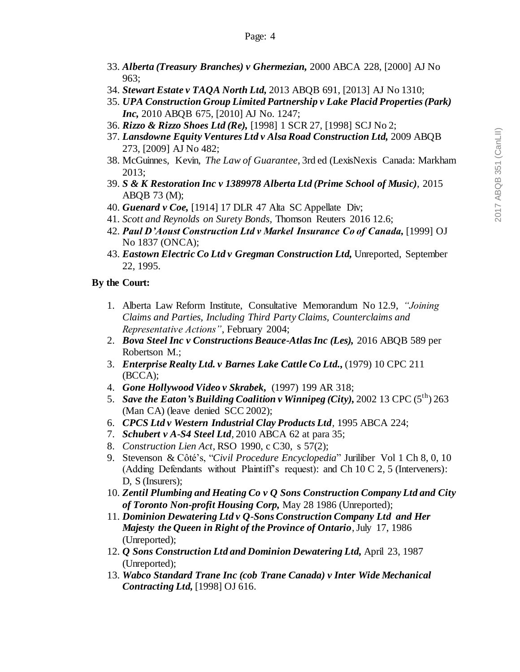- 33. *Alberta (Treasury Branches) v Ghermezian,* 2000 ABCA 228, [2000] AJ No 963;
- 34. *Stewart Estate v TAQA North Ltd,* 2013 ABQB 691, [2013] AJ No 1310;
- 35. *UPA Construction Group Limited Partnership v Lake Placid Properties (Park) Inc,* 2010 ABQB 675, [2010] AJ No. 1247;
- 36. *Rizzo & Rizzo Shoes Ltd (Re),* [1998] 1 SCR 27, [1998] SCJ No 2;
- 37. *Lansdowne Equity Ventures Ltd v Alsa Road Construction Ltd,* 2009 ABQB 273, [2009] AJ No 482;
- 38. McGuinnes, Kevin, *The Law of Guarantee*, 3rd ed (LexisNexis Canada: Markham 2013;
- 39. *S & K Restoration Inc v 1389978 Alberta Ltd (Prime School of Music)*, 2015 ABQB 73 (M);
- 40. *Guenard v Coe,* [1914] 17 DLR 47 Alta SC Appellate Div;
- 41. *Scott and Reynolds on Surety Bonds,* Thomson Reuters 2016 12.6;
- 42. *Paul D'Aoust Construction Ltd v Markel Insurance Co of Canada,* [1999] OJ No 1837 (ONCA);
- 43. *Eastown Electric Co Ltd v Gregman Construction Ltd,* Unreported, September 22, 1995.

### **By the Court:**

- 1. Alberta Law Reform Institute, Consultative Memorandum No 12.9, *"Joining Claims and Parties, Including Third Party Claims, Counterclaims and Representative Actions"*, February 2004;
- 2. *Bova Steel Inc v Constructions Beauce-Atlas Inc (Les),* 2016 ABQB 589 per Robertson M.;
- 3. *Enterprise Realty Ltd. v Barnes Lake Cattle Co Ltd.,* (1979) 10 CPC 211 (BCCA);
- 4. *Gone Hollywood Video v Skrabek,* (1997) 199 AR 318;
- 5. *Save the Eaton's Building Coalition v Winnipeg (City),* 2002 13 CPC  $(5^{th})$  263 (Man CA) (leave denied SCC 2002);
- 6. *CPCS Ltd v Western Industrial Clay Products Ltd,* 1995 ABCA 224;
- 7. *Schubert v A-S4 Steel Ltd,* 2010 ABCA 62 at para 35;
- 8. *Construction Lien Act,* RSO 1990, c C30, s 57(2);
- 9. Stevenson & Côté's, "*Civil Procedure Encyclopedia*" Juriliber Vol 1 Ch 8, 0, 10 (Adding Defendants without Plaintiff's request): and Ch 10 C 2, 5 (Interveners): D, S (Insurers);
- 10. *Zentil Plumbing and Heating Co v Q Sons Construction Company Ltd and City of Toronto Non-profit Housing Corp,* May 28 1986 (Unreported);
- 11. *Dominion Dewatering Ltd v Q-Sons Construction Company Ltd and Her Majesty the Queen in Right of the Province of Ontario*, July 17, 1986 (Unreported);
- 12. *Q Sons Construction Ltd and Dominion Dewatering Ltd,* April 23, 1987 (Unreported);
- 13. *Wabco Standard Trane Inc (cob Trane Canada) v Inter Wide Mechanical Contracting Ltd,* [1998] OJ 616.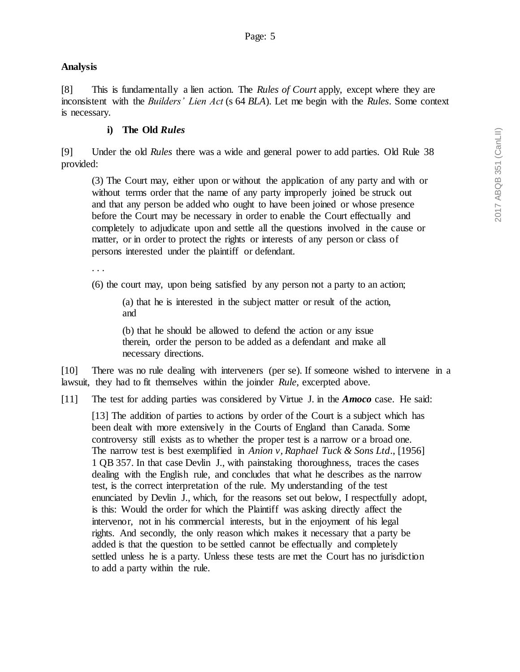## **Analysis**

[8] This is fundamentally a lien action. The *Rules of Court* apply, except where they are inconsistent with the *Builders' Lien Act* (s 64 *BLA*). Let me begin with the *Rules*. Some context is necessary.

## **i) The Old** *Rules*

[9] Under the old *Rules* there was a wide and general power to add parties. Old Rule 38 provided:

(3) The Court may, either upon or without the application of any party and with or without terms order that the name of any party improperly joined be struck out and that any person be added who ought to have been joined or whose presence before the Court may be necessary in order to enable the Court effectually and completely to adjudicate upon and settle all the questions involved in the cause or matter, or in order to protect the rights or interests of any person or class of persons interested under the plaintiff or defendant.

. . .

(6) the court may, upon being satisfied by any person not a party to an action;

(a) that he is interested in the subject matter or result of the action, and

(b) that he should be allowed to defend the action or any issue therein, order the person to be added as a defendant and make all necessary directions.

[10] There was no rule dealing with interveners (per se). If someone wished to intervene in a lawsuit, they had to fit themselves within the joinder *Rule,* excerpted above.

[11] The test for adding parties was considered by Virtue J. in the *Amoco* case. He said:

[13] The addition of parties to actions by order of the Court is a subject which has been dealt with more extensively in the Courts of England than Canada. Some controversy still exists as to whether the proper test is a narrow or a broad one. The narrow test is best exemplified in *Anion v, Raphael Tuck & Sons Ltd*., [1956] 1 QB 357. In that case Devlin J., with painstaking thoroughness, traces the cases dealing with the English rule, and concludes that what he describes as the narrow test, is the correct interpretation of the rule. My understanding of the test enunciated by Devlin J., which, for the reasons set out below, I respectfully adopt, is this: Would the order for which the Plaintiff was asking directly affect the intervenor, not in his commercial interests, but in the enjoyment of his legal rights. And secondly, the only reason which makes it necessary that a party be added is that the question to be settled cannot be effectually and completely settled unless he is a party. Unless these tests are met the Court has no jurisdiction to add a party within the rule.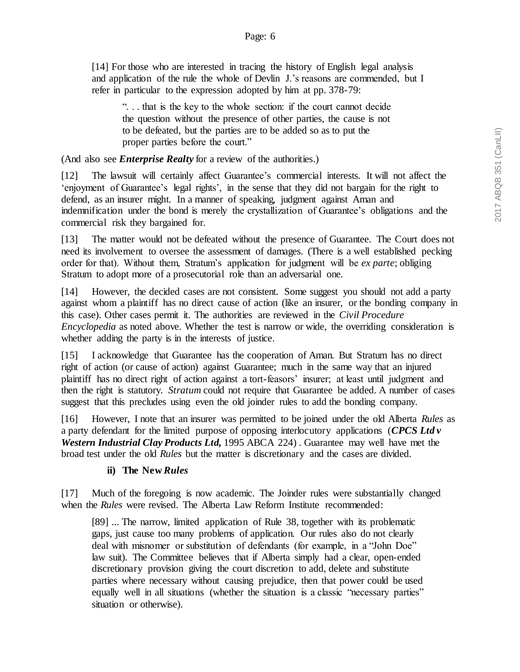[14] For those who are interested in tracing the history of English legal analysis and application of the rule the whole of Devlin J.'s reasons are commended, but I refer in particular to the expression adopted by him at pp. 378-79:

". . . that is the key to the whole section: if the court cannot decide the question without the presence of other parties, the cause is not to be defeated, but the parties are to be added so as to put the proper parties before the court."

(And also see *Enterprise Realty* for a review of the authorities.)

[12] The lawsuit will certainly affect Guarantee's commercial interests. It will not affect the 'enjoyment of Guarantee's legal rights', in the sense that they did not bargain for the right to defend, as an insurer might. In a manner of speaking, judgment against Aman and indemnification under the bond is merely the crystallization of Guarantee's obligations and the commercial risk they bargained for.

[13] The matter would not be defeated without the presence of Guarantee. The Court does not need its involvement to oversee the assessment of damages. (There is a well established pecking order for that). Without them, Stratum's application for judgment will be *ex parte*; obliging Stratum to adopt more of a prosecutorial role than an adversarial one.

[14] However, the decided cases are not consistent. Some suggest you should not add a party against whom a plaintiff has no direct cause of action (like an insurer, or the bonding company in this case). Other cases permit it. The authorities are reviewed in the *Civil Procedure Encyclopedia* as noted above. Whether the test is narrow or wide, the overriding consideration is whether adding the party is in the interests of justice.

[15] I acknowledge that Guarantee has the cooperation of Aman. But Stratum has no direct right of action (or cause of action) against Guarantee; much in the same way that an injured plaintiff has no direct right of action against a tort-feasors' insurer; at least until judgment and then the right is statutory. *Stratum* could not require that Guarantee be added. A number of cases suggest that this precludes using even the old joinder rules to add the bonding company.

[16] However, I note that an insurer was permitted to be joined under the old Alberta *Rules* as a party defendant for the limited purpose of opposing interlocutory applications (*CPCS Ltd v Western Industrial Clay Products Ltd,* 1995 ABCA 224) . Guarantee may well have met the broad test under the old *Rules* but the matter is discretionary and the cases are divided.

# **ii) The New** *Rules*

[17] Much of the foregoing is now academic. The Joinder rules were substantially changed when the *Rules* were revised. The Alberta Law Reform Institute recommended:

[89] ... The narrow, limited application of Rule 38, together with its problematic gaps, just cause too many problems of application. Our rules also do not clearly deal with misnomer or substitution of defendants (for example, in a "John Doe" law suit). The Committee believes that if Alberta simply had a clear, open-ended discretionary provision giving the court discretion to add, delete and substitute parties where necessary without causing prejudice, then that power could be used equally well in all situations (whether the situation is a classic "necessary parties" situation or otherwise).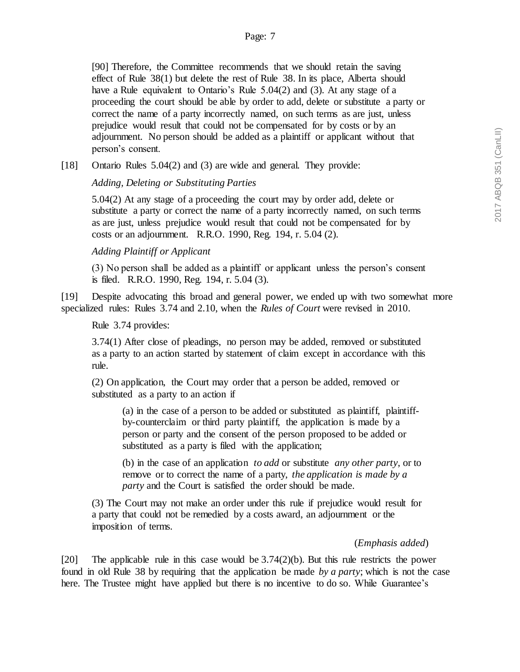[90] Therefore, the Committee recommends that we should retain the saving effect of Rule 38(1) but delete the rest of Rule 38. In its place, Alberta should have a Rule equivalent to Ontario's Rule 5.04(2) and (3). At any stage of a proceeding the court should be able by order to add, delete or substitute a party or correct the name of a party incorrectly named, on such terms as are just, unless prejudice would result that could not be compensated for by costs or by an adjournment. No person should be added as a plaintiff or applicant without that person's consent.

[18] Ontario Rules 5.04(2) and (3) are wide and general. They provide:

*Adding, Deleting or Substituting Parties*

5.04(2) At any stage of a proceeding the court may by order add, delete or substitute a party or correct the name of a party incorrectly named, on such terms as are just, unless prejudice would result that could not be compensated for by costs or an adjournment. R.R.O. 1990, Reg. 194, r. 5.04 (2).

## *Adding Plaintiff or Applicant*

(3) No person shall be added as a plaintiff or applicant unless the person's consent is filed. R.R.O. 1990, Reg. 194, r. 5.04 (3).

[19] Despite advocating this broad and general power, we ended up with two somewhat more specialized rules: Rules 3.74 and 2.10, when the *Rules of Court* were revised in 2010.

Rule 3.74 provides:

3.74(1) After close of pleadings, no person may be added, removed or substituted as a party to an action started by statement of claim except in accordance with this rule.

(2) On application, the Court may order that a person be added, removed or substituted as a party to an action if

(a) in the case of a person to be added or substituted as plaintiff, plaintiffby-counterclaim or third party plaintiff, the application is made by a person or party and the consent of the person proposed to be added or substituted as a party is filed with the application;

(b) in the case of an application *to add* or substitute *any other party*, or to remove or to correct the name of a party, *the application is made by a party* and the Court is satisfied the order should be made.

(3) The Court may not make an order under this rule if prejudice would result for a party that could not be remedied by a costs award, an adjournment or the imposition of terms.

#### (*Emphasis added*)

[20] The applicable rule in this case would be 3.74(2)(b). But this rule restricts the power found in old Rule 38 by requiring that the application be made *by a party*; which is not the case here. The Trustee might have applied but there is no incentive to do so. While Guarantee's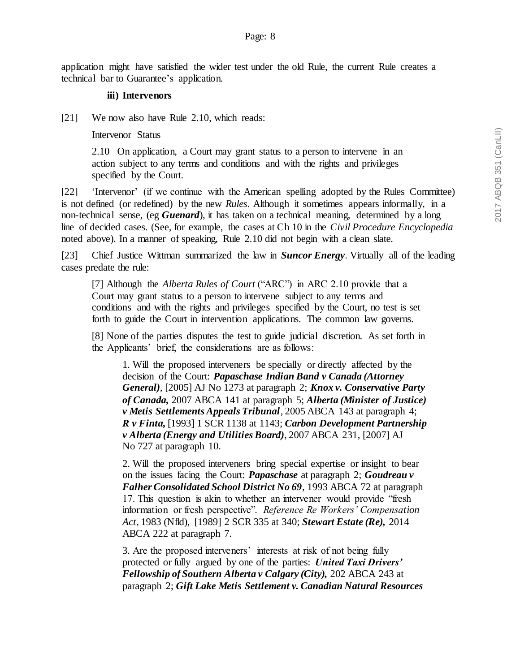application might have satisfied the wider test under the old Rule, the current Rule creates a technical bar to Guarantee's application.

### **iii) Intervenors**

[21] We now also have Rule 2.10, which reads:

Intervenor Status

2.10 On application, a Court may grant status to a person to intervene in an action subject to any terms and conditions and with the rights and privileges specified by the Court.

[22] 'Intervenor' (if we continue with the American spelling adopted by the Rules Committee) is not defined (or redefined) by the new *Rules*. Although it sometimes appears informally, in a non-technical sense, (eg *Guenard*), it has taken on a technical meaning, determined by a long line of decided cases. (See, for example, the cases at Ch 10 in the *Civil Procedure Encyclopedia* noted above). In a manner of speaking, Rule 2.10 did not begin with a clean slate.

[23] Chief Justice Wittman summarized the law in *Suncor Energy*. Virtually all of the leading cases predate the rule:

[7] Although the *Alberta Rules of Court* ("ARC") in ARC 2.10 provide that a Court may grant status to a person to intervene subject to any terms and conditions and with the rights and privileges specified by the Court, no test is set forth to guide the Court in intervention applications. The common law governs.

[8] None of the parties disputes the test to guide judicial discretion. As set forth in the Applicants' brief, the considerations are as follows:

1. Will the proposed interveners be specially or directly affected by the decision of the Court: *Papaschase Indian Band v Canada (Attorney General)*, [2005] AJ No 1273 at paragraph 2; *Knox v. Conservative Party of Canada,* 2007 ABCA 141 at paragraph 5; *Alberta (Minister of Justice) v Metis Settlements Appeals Tribunal*, 2005 ABCA 143 at paragraph 4; *R v Finta,* [1993] 1 SCR 1138 at 1143; *Carbon Development Partnership v Alberta (Energy and Utilities Board)*, 2007 ABCA 231, [2007] AJ No 727 at paragraph 10.

2. Will the proposed interveners bring special expertise or insight to bear on the issues facing the Court: *Papaschase* at paragraph 2; *Goudreau v Falher Consolidated School District No 69*, 1993 ABCA 72 at paragraph 17. This question is akin to whether an intervener would provide "fresh information or fresh perspective". *Reference Re Workers' Compensation Act*, 1983 (Nfld), [1989] 2 SCR 335 at 340; *Stewart Estate (Re),* 2014 ABCA 222 at paragraph 7.

3. Are the proposed interveners' interests at risk of not being fully protected or fully argued by one of the parties: *United Taxi Drivers' Fellowship of Southern Alberta v Calgary (City),* 202 ABCA 243 at paragraph 2; *Gift Lake Metis Settlement v. Canadian Natural Resources*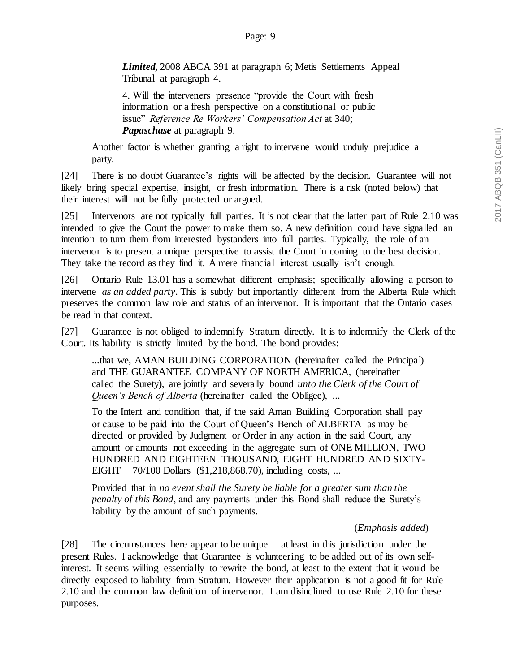*Limited,* 2008 ABCA 391 at paragraph 6; Metis Settlements Appeal Tribunal at paragraph 4.

4. Will the interveners presence "provide the Court with fresh information or a fresh perspective on a constitutional or public issue" *Reference Re Workers' Compensation Act* at 340; *Papaschase* at paragraph 9.

Another factor is whether granting a right to intervene would unduly prejudice a party.

[24] There is no doubt Guarantee's rights will be affected by the decision. Guarantee will not likely bring special expertise, insight, or fresh information. There is a risk (noted below) that their interest will not be fully protected or argued.

[25] Intervenors are not typically full parties. It is not clear that the latter part of Rule 2.10 was intended to give the Court the power to make them so. A new definition could have signalled an intention to turn them from interested bystanders into full parties. Typically, the role of an intervenor is to present a unique perspective to assist the Court in coming to the best decision. They take the record as they find it. A mere financial interest usually isn't enough.

[26] Ontario Rule 13.01 has a somewhat different emphasis; specifically allowing a person to intervene *as an added party*. This is subtly but importantly different from the Alberta Rule which preserves the common law role and status of an intervenor. It is important that the Ontario cases be read in that context.

[27] Guarantee is not obliged to indemnify Stratum directly. It is to indemnify the Clerk of the Court. Its liability is strictly limited by the bond. The bond provides:

...that we, AMAN BUILDING CORPORATION (hereinafter called the Principal) and THE GUARANTEE COMPANY OF NORTH AMERICA, (hereinafter called the Surety), are jointly and severally bound *unto the Clerk of the Court of Queen's Bench of Alberta* (hereinafter called the Obligee), ...

To the Intent and condition that, if the said Aman Building Corporation shall pay or cause to be paid into the Court of Queen's Bench of ALBERTA as may be directed or provided by Judgment or Order in any action in the said Court, any amount or amounts not exceeding in the aggregate sum of ONE MILLION, TWO HUNDRED AND EIGHTEEN THOUSAND, EIGHT HUNDRED AND SIXTY-EIGHT – 70/100 Dollars (\$1,218,868.70), including costs, ...

Provided that in *no event shall the Surety be liable for a greater sum than the penalty of this Bond*, and any payments under this Bond shall reduce the Surety's liability by the amount of such payments.

## (*Emphasis added*)

[28] The circumstances here appear to be unique – at least in this jurisdiction under the present Rules. I acknowledge that Guarantee is volunteering to be added out of its own selfinterest. It seems willing essentially to rewrite the bond, at least to the extent that it would be directly exposed to liability from Stratum. However their application is not a good fit for Rule 2.10 and the common law definition of intervenor. I am disinclined to use Rule 2.10 for these purposes.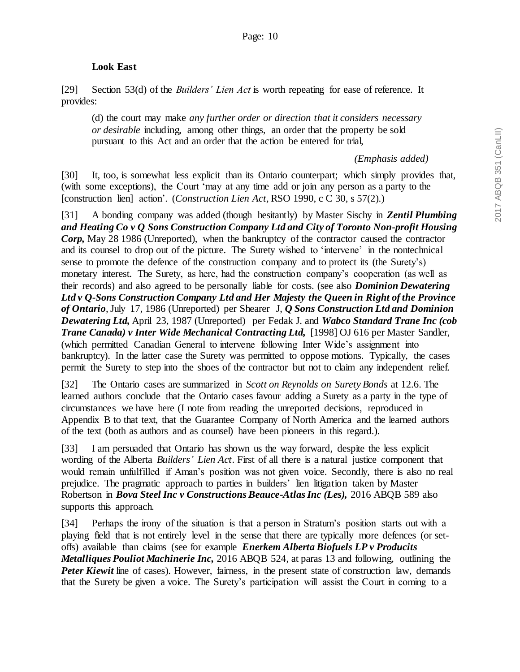### **Look East**

[29] Section 53(d) of the *Builders' Lien Act* is worth repeating for ease of reference. It provides:

(d) the court may make *any further order or direction that it considers necessary or desirable* including, among other things, an order that the property be sold pursuant to this Act and an order that the action be entered for trial,

*(Emphasis added)*

[30] It, too, is somewhat less explicit than its Ontario counterpart; which simply provides that, (with some exceptions), the Court 'may at any time add or join any person as a party to the [construction lien] action'. (*Construction Lien Act,* RSO 1990, c C 30, s 57(2).)

[31] A bonding company was added (though hesitantly) by Master Sischy in *Zentil Plumbing and Heating Co v Q Sons Construction Company Ltd and City of Toronto Non-profit Housing Corp,* May 28 1986 (Unreported), when the bankruptcy of the contractor caused the contractor and its counsel to drop out of the picture. The Surety wished to 'intervene' in the nontechnical sense to promote the defence of the construction company and to protect its (the Surety's) monetary interest. The Surety, as here, had the construction company's cooperation (as well as their records) and also agreed to be personally liable for costs. (see also *Dominion Dewatering Ltd v Q-Sons Construction Company Ltd and Her Majesty the Queen in Right of the Province of Ontario*, July 17, 1986 (Unreported) per Shearer J, *Q Sons Construction Ltd and Dominion Dewatering Ltd,* April 23, 1987 (Unreported) per Fedak J. and *Wabco Standard Trane Inc (cob Trane Canada) v Inter Wide Mechanical Contracting Ltd,* [1998] OJ 616 per Master Sandler, (which permitted Canadian General to intervene following Inter Wide's assignment into bankruptcy). In the latter case the Surety was permitted to oppose motions. Typically, the cases permit the Surety to step into the shoes of the contractor but not to claim any independent relief.

[32] The Ontario cases are summarized in *Scott on Reynolds on Surety Bonds* at 12.6. The learned authors conclude that the Ontario cases favour adding a Surety as a party in the type of circumstances we have here (I note from reading the unreported decisions, reproduced in Appendix B to that text, that the Guarantee Company of North America and the learned authors of the text (both as authors and as counsel) have been pioneers in this regard.).

[33] I am persuaded that Ontario has shown us the way forward, despite the less explicit wording of the Alberta *Builders' Lien Act*. First of all there is a natural justice component that would remain unfulfilled if Aman's position was not given voice. Secondly, there is also no real prejudice. The pragmatic approach to parties in builders' lien litigation taken by Master Robertson in *Bova Steel Inc v Constructions Beauce-Atlas Inc (Les),* 2016 ABQB 589 also supports this approach.

[34] Perhaps the irony of the situation is that a person in Stratum's position starts out with a playing field that is not entirely level in the sense that there are typically more defences (or setoffs) available than claims (see for example *Enerkem Alberta Biofuels LP v Producits Metalliques Pouliot Machinerie Inc,* 2016 ABQB 524, at paras 13 and following, outlining the *Peter Kiewit* line of cases). However, fairness, in the present state of construction law, demands that the Surety be given a voice. The Surety's participation will assist the Court in coming to a